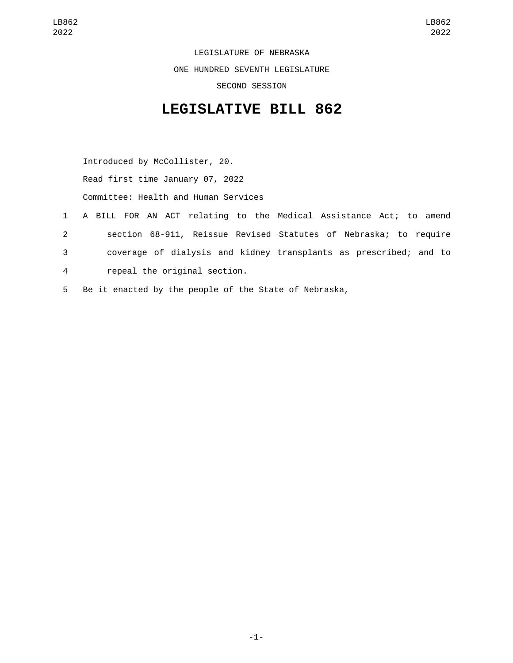LEGISLATURE OF NEBRASKA ONE HUNDRED SEVENTH LEGISLATURE SECOND SESSION

## **LEGISLATIVE BILL 862**

Introduced by McCollister, 20.

Read first time January 07, 2022

Committee: Health and Human Services

- 1 A BILL FOR AN ACT relating to the Medical Assistance Act; to amend 2 section 68-911, Reissue Revised Statutes of Nebraska; to require 3 coverage of dialysis and kidney transplants as prescribed; and to repeal the original section.4
- 5 Be it enacted by the people of the State of Nebraska,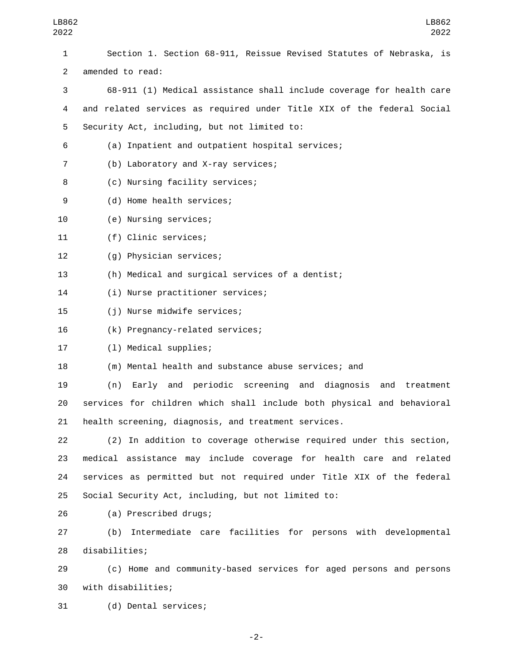| 1              | Section 1. Section 68-911, Reissue Revised Statutes of Nebraska, is    |
|----------------|------------------------------------------------------------------------|
| $\overline{2}$ | amended to read:                                                       |
| 3              | 68-911 (1) Medical assistance shall include coverage for health care   |
| 4              | and related services as required under Title XIX of the federal Social |
| 5              | Security Act, including, but not limited to:                           |
| 6              | (a) Inpatient and outpatient hospital services;                        |
| $\overline{7}$ | (b) Laboratory and X-ray services;                                     |
| 8              | (c) Nursing facility services;                                         |
| 9              | (d) Home health services;                                              |
| 10             | (e) Nursing services;                                                  |
| 11             | (f) Clinic services;                                                   |
| 12             | (g) Physician services;                                                |
| 13             | (h) Medical and surgical services of a dentist;                        |
| 14             | (i) Nurse practitioner services;                                       |
| 15             | (j) Nurse midwife services;                                            |
| 16             | (k) Pregnancy-related services;                                        |
| 17             | (1) Medical supplies;                                                  |
| 18             | (m) Mental health and substance abuse services; and                    |
| 19             | Early and periodic screening and diagnosis<br>(n)<br>and<br>treatment  |
| 20             | services for children which shall include both physical and behavioral |
| 21             | health screening, diagnosis, and treatment services.                   |
| 22             | (2) In addition to coverage otherwise required under this section,     |
| 23             | medical assistance may include coverage for health care and related    |
| 24             | services as permitted but not required under Title XIX of the federal  |
| 25             | Social Security Act, including, but not limited to:                    |
| 26             | (a) Prescribed drugs;                                                  |
| 27             | Intermediate care facilities for persons with developmental<br>(b)     |
| 28             | disabilities;                                                          |

29 (c) Home and community-based services for aged persons and persons 30 with disabilities;

31 (d) Dental services;

-2-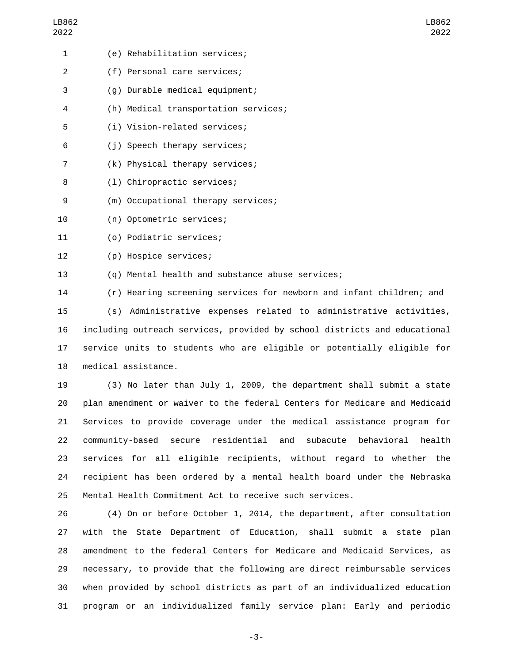| 1              | (e) Rehabilitation services;                                        |
|----------------|---------------------------------------------------------------------|
| 2              | (f) Personal care services;                                         |
| 3              | (g) Durable medical equipment;                                      |
| 4              | (h) Medical transportation services;                                |
| 5              | (i) Vision-related services;                                        |
| 6              | (j) Speech therapy services;                                        |
| $\overline{7}$ | (k) Physical therapy services;                                      |
| 8              | (1) Chiropractic services;                                          |
| 9              | (m) Occupational therapy services;                                  |
| 10             | (n) Optometric services;                                            |
| 11             | (o) Podiatric services;                                             |
| 12             | (p) Hospice services;                                               |
| 13             | (q) Mental health and substance abuse services;                     |
| 14             | (r) Hearing screening services for newborn and infant children; and |
| 15             | (s) Administrative expenses related to administrative activities,   |
|                |                                                                     |

16 including outreach services, provided by school districts and educational 17 service units to students who are eligible or potentially eligible for 18 medical assistance.

 (3) No later than July 1, 2009, the department shall submit a state plan amendment or waiver to the federal Centers for Medicare and Medicaid Services to provide coverage under the medical assistance program for community-based secure residential and subacute behavioral health services for all eligible recipients, without regard to whether the recipient has been ordered by a mental health board under the Nebraska Mental Health Commitment Act to receive such services.

 (4) On or before October 1, 2014, the department, after consultation with the State Department of Education, shall submit a state plan amendment to the federal Centers for Medicare and Medicaid Services, as necessary, to provide that the following are direct reimbursable services when provided by school districts as part of an individualized education program or an individualized family service plan: Early and periodic

-3-